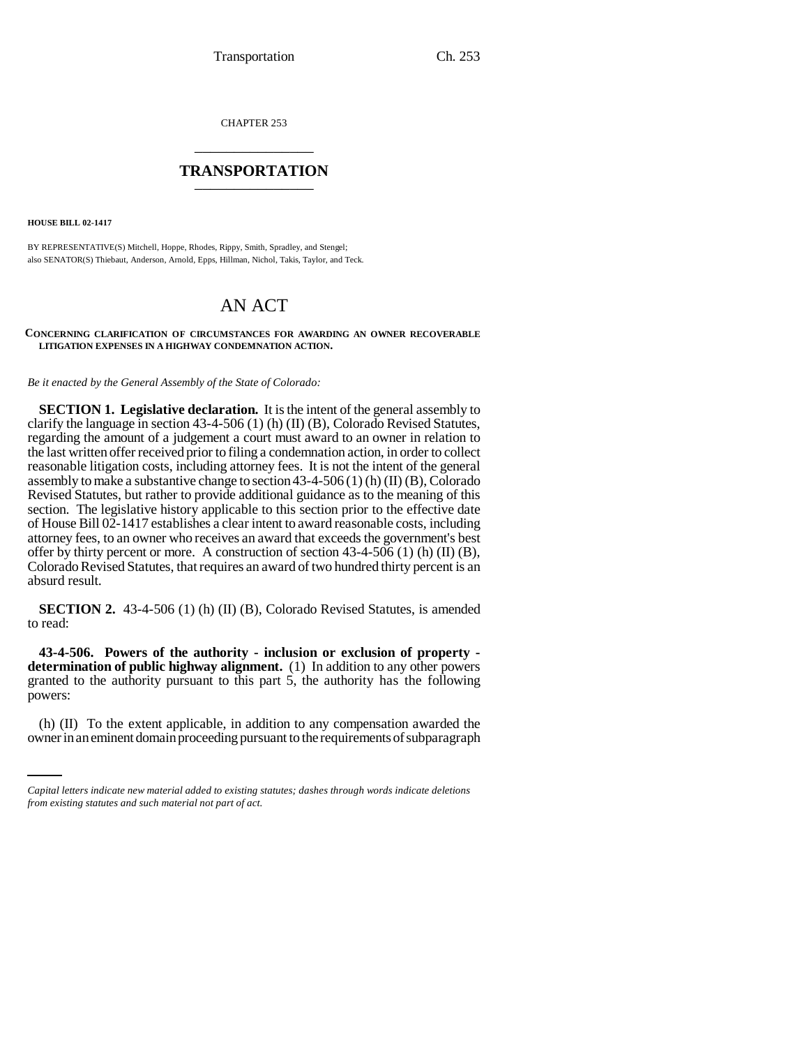CHAPTER 253 \_\_\_\_\_\_\_\_\_\_\_\_\_\_\_

## **TRANSPORTATION** \_\_\_\_\_\_\_\_\_\_\_\_\_\_\_

**HOUSE BILL 02-1417**

BY REPRESENTATIVE(S) Mitchell, Hoppe, Rhodes, Rippy, Smith, Spradley, and Stengel; also SENATOR(S) Thiebaut, Anderson, Arnold, Epps, Hillman, Nichol, Takis, Taylor, and Teck.

## AN ACT

## **CONCERNING CLARIFICATION OF CIRCUMSTANCES FOR AWARDING AN OWNER RECOVERABLE LITIGATION EXPENSES IN A HIGHWAY CONDEMNATION ACTION.**

*Be it enacted by the General Assembly of the State of Colorado:*

**SECTION 1. Legislative declaration.** It is the intent of the general assembly to clarify the language in section 43-4-506 (1) (h) (II) (B), Colorado Revised Statutes, regarding the amount of a judgement a court must award to an owner in relation to the last written offer received prior to filing a condemnation action, in order to collect reasonable litigation costs, including attorney fees. It is not the intent of the general assembly to make a substantive change to section 43-4-506 (1) (h) (II) (B), Colorado Revised Statutes, but rather to provide additional guidance as to the meaning of this section. The legislative history applicable to this section prior to the effective date of House Bill 02-1417 establishes a clear intent to award reasonable costs, including attorney fees, to an owner who receives an award that exceeds the government's best offer by thirty percent or more. A construction of section 43-4-506 (1) (h) (II) (B), Colorado Revised Statutes, that requires an award of two hundred thirty percent is an absurd result.

**SECTION 2.** 43-4-506 (1) (h) (II) (B), Colorado Revised Statutes, is amended to read:

 $\mathbf{r}$  and  $\mathbf{r}$ **43-4-506. Powers of the authority - inclusion or exclusion of property determination of public highway alignment.** (1) In addition to any other powers granted to the authority pursuant to this part 5, the authority has the following powers:

(h) (II) To the extent applicable, in addition to any compensation awarded the owner in an eminent domain proceeding pursuant to the requirements of subparagraph

*Capital letters indicate new material added to existing statutes; dashes through words indicate deletions from existing statutes and such material not part of act.*